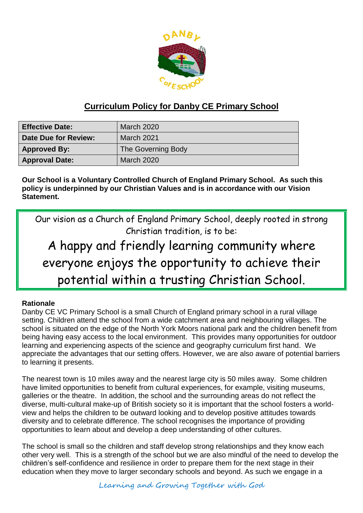

# **Curriculum Policy for Danby CE Primary School**

| <b>Effective Date:</b> | <b>March 2020</b>  |
|------------------------|--------------------|
| Date Due for Review:   | <b>March 2021</b>  |
| <b>Approved By:</b>    | The Governing Body |
| <b>Approval Date:</b>  | <b>March 2020</b>  |

**Our School is a Voluntary Controlled Church of England Primary School. As such this policy is underpinned by our Christian Values and is in accordance with our Vision Statement.**

Our vision as a Church of England Primary School, deeply rooted in strong Christian tradition, is to be:

# A happy and friendly learning community where everyone enjoys the opportunity to achieve their potential within a trusting Christian School.

#### **Rationale**

Danby CE VC Primary School is a small Church of England primary school in a rural village setting. Children attend the school from a wide catchment area and neighbouring villages. The school is situated on the edge of the North York Moors national park and the children benefit from being having easy access to the local environment. This provides many opportunities for outdoor learning and experiencing aspects of the science and geography curriculum first hand. We appreciate the advantages that our setting offers. However, we are also aware of potential barriers to learning it presents.

The nearest town is 10 miles away and the nearest large city is 50 miles away. Some children have limited opportunities to benefit from cultural experiences, for example, visiting museums, galleries or the theatre. In addition, the school and the surrounding areas do not reflect the diverse, multi-cultural make-up of British society so it is important that the school fosters a worldview and helps the children to be outward looking and to develop positive attitudes towards diversity and to celebrate difference. The school recognises the importance of providing opportunities to learn about and develop a deep understanding of other cultures.

The school is small so the children and staff develop strong relationships and they know each other very well. This is a strength of the school but we are also mindful of the need to develop the children's self-confidence and resilience in order to prepare them for the next stage in their education when they move to larger secondary schools and beyond. As such we engage in a

Learning and Growing Together with God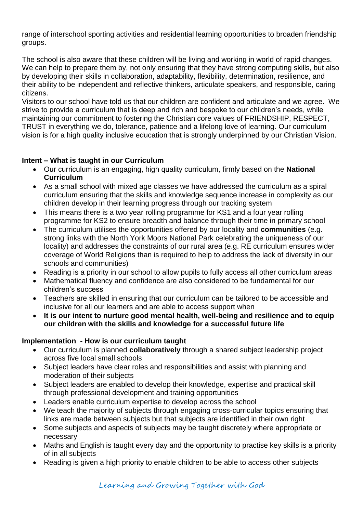range of interschool sporting activities and residential learning opportunities to broaden friendship groups.

The school is also aware that these children will be living and working in world of rapid changes. We can help to prepare them by, not only ensuring that they have strong computing skills, but also by developing their skills in collaboration, adaptability, flexibility, determination, resilience, and their ability to be independent and reflective thinkers, articulate speakers, and responsible, caring citizens.

Visitors to our school have told us that our children are confident and articulate and we agree. We strive to provide a curriculum that is deep and rich and bespoke to our children's needs, while maintaining our commitment to fostering the Christian core values of FRIENDSHIP, RESPECT, TRUST in everything we do, tolerance, patience and a lifelong love of learning. Our curriculum vision is for a high quality inclusive education that is strongly underpinned by our Christian Vision.

#### **Intent – What is taught in our Curriculum**

- Our curriculum is an engaging, high quality curriculum, firmly based on the **National Curriculum**
- As a small school with mixed age classes we have addressed the curriculum as a spiral curriculum ensuring that the skills and knowledge sequence increase in complexity as our children develop in their learning progress through our tracking system
- This means there is a two year rolling programme for KS1 and a four year rolling programme for KS2 to ensure breadth and balance through their time in primary school
- The curriculum utilises the opportunities offered by our locality and **communities** (e.g. strong links with the North York Moors National Park celebrating the uniqueness of our locality) and addresses the constraints of our rural area (e.g. RE curriculum ensures wider coverage of World Religions than is required to help to address the lack of diversity in our schools and communities)
- Reading is a priority in our school to allow pupils to fully access all other curriculum areas
- Mathematical fluency and confidence are also considered to be fundamental for our children's success
- Teachers are skilled in ensuring that our curriculum can be tailored to be accessible and inclusive for all our learners and are able to access support when
- **It is our intent to nurture good mental health, well-being and resilience and to equip our children with the skills and knowledge for a successful future life**

#### **Implementation - How is our curriculum taught**

- Our curriculum is planned **collaboratively** through a shared subject leadership project across five local small schools
- Subject leaders have clear roles and responsibilities and assist with planning and moderation of their subjects
- Subject leaders are enabled to develop their knowledge, expertise and practical skill through professional development and training opportunities
- Leaders enable curriculum expertise to develop across the school
- We teach the majority of subjects through engaging cross-curricular topics ensuring that links are made between subjects but that subjects are identified in their own right
- Some subjects and aspects of subjects may be taught discretely where appropriate or necessary
- Maths and English is taught every day and the opportunity to practise key skills is a priority of in all subjects
- Reading is given a high priority to enable children to be able to access other subjects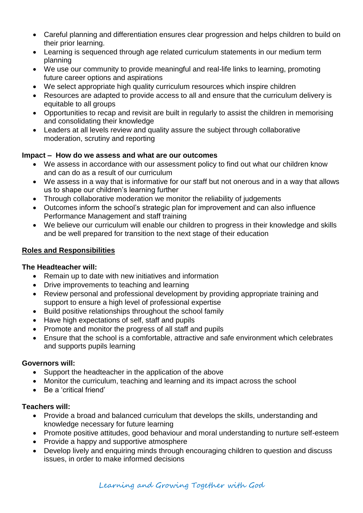- Careful planning and differentiation ensures clear progression and helps children to build on their prior learning.
- Learning is sequenced through age related curriculum statements in our medium term planning
- We use our community to provide meaningful and real-life links to learning, promoting future career options and aspirations
- We select appropriate high quality curriculum resources which inspire children
- Resources are adapted to provide access to all and ensure that the curriculum delivery is equitable to all groups
- Opportunities to recap and revisit are built in regularly to assist the children in memorising and consolidating their knowledge
- Leaders at all levels review and quality assure the subject through collaborative moderation, scrutiny and reporting

#### **Impact – How do we assess and what are our outcomes**

- We assess in accordance with our assessment policy to find out what our children know and can do as a result of our curriculum
- We assess in a way that is informative for our staff but not onerous and in a way that allows us to shape our children's learning further
- Through collaborative moderation we monitor the reliability of judgements
- Outcomes inform the school's strategic plan for improvement and can also influence Performance Management and staff training
- We believe our curriculum will enable our children to progress in their knowledge and skills and be well prepared for transition to the next stage of their education

# **Roles and Responsibilities**

#### **The Headteacher will:**

- Remain up to date with new initiatives and information
- Drive improvements to teaching and learning
- Review personal and professional development by providing appropriate training and support to ensure a high level of professional expertise
- Build positive relationships throughout the school family
- Have high expectations of self, staff and pupils
- Promote and monitor the progress of all staff and pupils
- Ensure that the school is a comfortable, attractive and safe environment which celebrates and supports pupils learning

#### **Governors will:**

- Support the headteacher in the application of the above
- Monitor the curriculum, teaching and learning and its impact across the school
- Be a 'critical friend'

#### **Teachers will:**

- Provide a broad and balanced curriculum that develops the skills, understanding and knowledge necessary for future learning
- Promote positive attitudes, good behaviour and moral understanding to nurture self-esteem
- Provide a happy and supportive atmosphere
- Develop lively and enquiring minds through encouraging children to question and discuss issues, in order to make informed decisions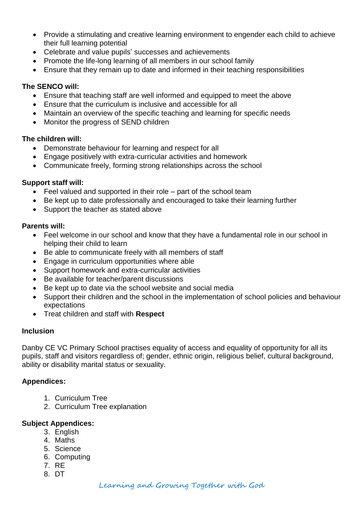- Provide a stimulating and creative learning environment to engender each child to achieve their full learning potential
- Celebrate and value pupils' successes and achievements
- Promote the life-long learning of all members in our school family
- Ensure that they remain up to date and informed in their teaching responsibilities

# **The SENCO will:**

- Ensure that teaching staff are well informed and equipped to meet the above
- Ensure that the curriculum is inclusive and accessible for all
- Maintain an overview of the specific teaching and learning for specific needs
- Monitor the progress of SEND children

# **The children will:**

- Demonstrate behaviour for learning and respect for all
- Engage positively with extra-curricular activities and homework
- Communicate freely, forming strong relationships across the school

# **Support staff will:**

- Feel valued and supported in their role part of the school team
- Be kept up to date professionally and encouraged to take their learning further
- Support the teacher as stated above

# **Parents will:**

- Feel welcome in our school and know that they have a fundamental role in our school in helping their child to learn
- Be able to communicate freely with all members of staff
- Engage in curriculum opportunities where able
- Support homework and extra-curricular activities
- Be available for teacher/parent discussions
- Be kept up to date via the school website and social media
- Support their children and the school in the implementation of school policies and behaviour expectations
- Treat children and staff with **Respect**

#### **Inclusion**

Danby CE VC Primary School practises equality of access and equality of opportunity for all its pupils, staff and visitors regardless of; gender, ethnic origin, religious belief, cultural background, ability or disability marital status or sexuality.

# **Appendices:**

- 1. Curriculum Tree
- 2. Curriculum Tree explanation

#### **Subject Appendices:**

- 3. English
- 4. Maths
- 5. Science
- 6. Computing
- 7. RE
- 8. DT